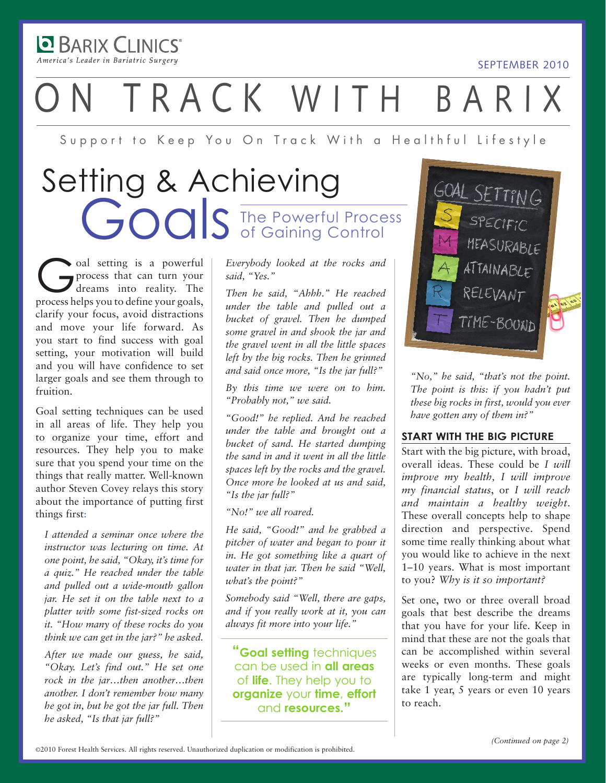**DE BARIX CLINICS** America's Leader in Bariatric Surgery

# TRACK WITH BARI

Support to Keep You On Track With a Healthful Lifestyle

### The Powerful Process of Gaining Control Setting & Achieving Goals

Coal setting is a powerful<br>process that can turn your<br>dreams into reality. The process that can turn your dreams into reality. The process helps you to define your goals, clarify your focus, avoid distractions and move your life forward. As you start to find success with goal setting, your motivation will build and you will have confidence to set larger goals and see them through to fruition.

Goal setting techniques can be used in all areas of life. They help you to organize your time, effort and resources. They help you to make sure that you spend your time on the things that really matter. Well-known author Steven Covey relays this story about the importance of putting first things first:

*I attended a seminar once where the instructor was lecturing on time. At one point, he said, "Okay, it's time for a quiz." He reached under the table and pulled out a wide-mouth gallon jar. He set it on the table next to a platter with some fist-sized rocks on it. "How many of these rocks do you think we can get in the jar?" he asked.* 

*After we made our guess, he said, "Okay. Let's find out." He set one rock in the jar…then another…then another. I don't remember how many he got in, but he got the jar full. Then he asked, "Is that jar full?"* 

*Everybody looked at the rocks and said, "Yes."* 

*Then he said, "Ahhh." He reached under the table and pulled out a bucket of gravel. Then he dumped some gravel in and shook the jar and the gravel went in all the little spaces left by the big rocks. Then he grinned and said once more, "Is the jar full?"* 

*By this time we were on to him. "Probably not," we said.* 

*"Good!" he replied. And he reached under the table and brought out a bucket of sand. He started dumping the sand in and it went in all the little spaces left by the rocks and the gravel. Once more he looked at us and said, "Is the jar full?"* 

*"No!" we all roared.* 

*He said, "Good!" and he grabbed a pitcher of water and began to pour it in. He got something like a quart of water in that jar. Then he said "Well, what's the point?"* 

*Somebody said "Well, there are gaps, and if you really work at it, you can always fit more into your life."* 

**"Goal setting** techniques can be used in **all areas** of **life**. They help you to **organize** your **time**, **effort**  and **resources."**



SEPTEMBER 2010

*"No," he said, "that's not the point. The point is this: if you hadn't put these big rocks in first, would you ever have gotten any of them in?"* 

#### **START WITH THE BIG PICTURE**

Start with the big picture, with broad, overall ideas. These could be *I will improve my health, I will improve my financial status*, or *I will reach and maintain a healthy weight*. These overall concepts help to shape direction and perspective. Spend some time really thinking about what you would like to achieve in the next 1–10 years. What is most important to you? *Why is it so important?* 

Set one, two or three overall broad goals that best describe the dreams that you have for your life. Keep in mind that these are not the goals that can be accomplished within several weeks or even months. These goals are typically long-term and might take 1 year, 5 years or even 10 years to reach.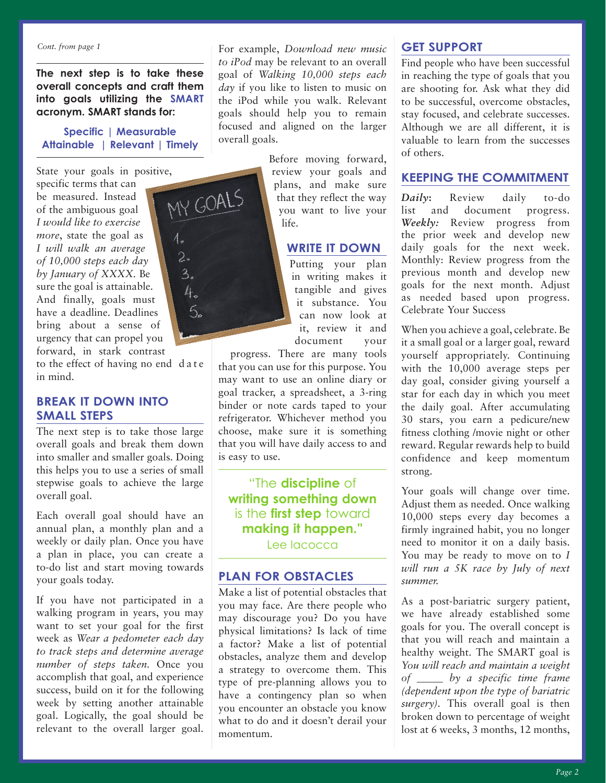*Cont. from page 1*

**The next step is to take these overall concepts and craft them into goals utilizing the SMART acronym. SMART stands for:**

#### **Specific | Measurable Attainable | Relevant | Timely**

MY GOALS

 $2.$  $3.$ 4.  $5.5$ 

State your goals in positive,

specific terms that can be measured. Instead of the ambiguous goal *I would like to exercise more*, state the goal as *I will walk an average of 10,000 steps each day by January of XXXX.* Be sure the goal is attainable. And finally, goals must have a deadline. Deadlines bring about a sense of urgency that can propel you forward, in stark contrast

to the effect of having no end date in mind.

### **BREAK IT DOWN INTO SMALL STEPS**

The next step is to take those large overall goals and break them down into smaller and smaller goals. Doing this helps you to use a series of small stepwise goals to achieve the large overall goal.

Each overall goal should have an annual plan, a monthly plan and a weekly or daily plan. Once you have a plan in place, you can create a to-do list and start moving towards your goals today.

If you have not participated in a walking program in years, you may want to set your goal for the first week as *Wear a pedometer each day to track steps and determine average number of steps taken.* Once you accomplish that goal, and experience success, build on it for the following week by setting another attainable goal. Logically, the goal should be relevant to the overall larger goal. For example, *Download new music to iPod* may be relevant to an overall goal of *Walking 10,000 steps each day* if you like to listen to music on the iPod while you walk. Relevant goals should help you to remain focused and aligned on the larger overall goals.

> Before moving forward, review your goals and plans, and make sure that they reflect the way you want to live your life.

#### **WRITE IT DOWN**

Putting your plan in writing makes it tangible and gives it substance. You can now look at it, review it and document your

progress. There are many tools that you can use for this purpose. You may want to use an online diary or goal tracker, a spreadsheet, a 3-ring binder or note cards taped to your refrigerator. Whichever method you choose, make sure it is something that you will have daily access to and is easy to use.

"The **discipline** of **writing something down** is the **first step** toward **making it happen."** Lee Iacocca

### **PLAN FOR OBSTACLES**

Make a list of potential obstacles that you may face. Are there people who may discourage you? Do you have physical limitations? Is lack of time a factor? Make a list of potential obstacles, analyze them and develop a strategy to overcome them. This type of pre-planning allows you to have a contingency plan so when you encounter an obstacle you know what to do and it doesn't derail your momentum.

### **GET SUPPORT**

Find people who have been successful in reaching the type of goals that you are shooting for. Ask what they did to be successful, overcome obstacles, stay focused, and celebrate successes. Although we are all different, it is valuable to learn from the successes of others.

#### **KEEPING THE COMMITMENT**

*Daily***:** Review daily to-do list and document progress. *Weekly:* Review progress from the prior week and develop new daily goals for the next week. Monthly: Review progress from the previous month and develop new goals for the next month. Adjust as needed based upon progress. Celebrate Your Success

When you achieve a goal, celebrate. Be it a small goal or a larger goal, reward yourself appropriately. Continuing with the 10,000 average steps per day goal, consider giving yourself a star for each day in which you meet the daily goal. After accumulating 30 stars, you earn a pedicure/new fitness clothing /movie night or other reward. Regular rewards help to build confidence and keep momentum strong.

Your goals will change over time. Adjust them as needed. Once walking 10,000 steps every day becomes a firmly ingrained habit, you no longer need to monitor it on a daily basis. You may be ready to move on to *I will run a 5K race by July of next summer.*

As a post-bariatric surgery patient, we have already established some goals for you. The overall concept is that you will reach and maintain a healthy weight. The SMART goal is *You will reach and maintain a weight of \_\_\_\_\_ by a specific time frame (dependent upon the type of bariatric surgery).* This overall goal is then broken down to percentage of weight lost at 6 weeks, 3 months, 12 months,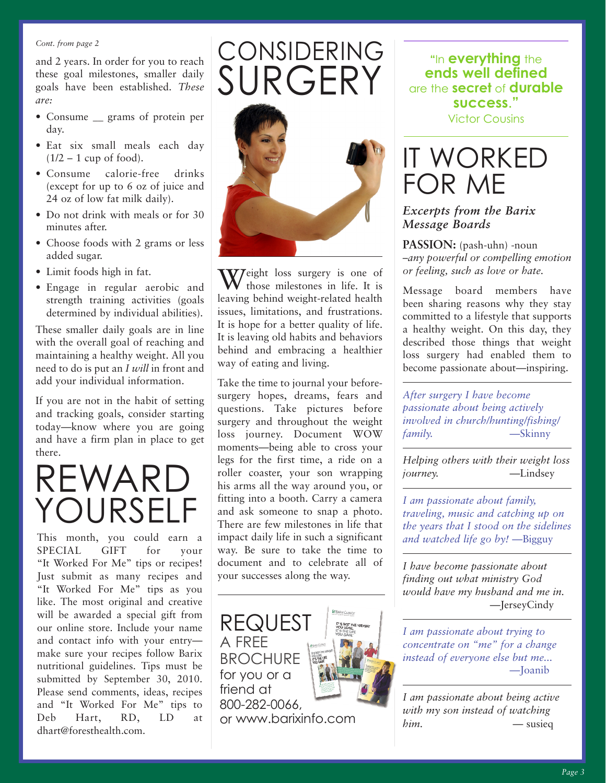#### *Cont. from page 2*

and 2 years. In order for you to reach these goal milestones, smaller daily goals have been established. *These are:*

- Consume <u>grams</u> of protein per day.
- Eat six small meals each day  $(1/2 - 1$  cup of food).
- Consume calorie-free drinks (except for up to 6 oz of juice and 24 oz of low fat milk daily).
- Do not drink with meals or for 30 minutes after.
- Choose foods with 2 grams or less added sugar.
- Limit foods high in fat.
- Engage in regular aerobic and strength training activities (goals determined by individual abilities).

These smaller daily goals are in line with the overall goal of reaching and maintaining a healthy weight. All you need to do is put an *I will* in front and add your individual information.

If you are not in the habit of setting and tracking goals, consider starting today—know where you are going and have a firm plan in place to get there.

### REWARD YOURSEL

This month, you could earn a SPECIAL GIFT for your "It Worked For Me" tips or recipes! Just submit as many recipes and "It Worked For Me" tips as you like. The most original and creative will be awarded a special gift from our online store. Include your name and contact info with your entry make sure your recipes follow Barix nutritional guidelines. Tips must be submitted by September 30, 2010. Please send comments, ideas, recipes and "It Worked For Me" tips to Deb Hart, RD, LD at dhart@foresthealth.com.



CONSIDERING

Weight loss surgery is one of those milestones in life. It is leaving behind weight-related health issues, limitations, and frustrations. It is hope for a better quality of life. It is leaving old habits and behaviors behind and embracing a healthier way of eating and living.

Take the time to journal your beforesurgery hopes, dreams, fears and questions. Take pictures before surgery and throughout the weight loss journey. Document WOW moments—being able to cross your legs for the first time, a ride on a roller coaster, your son wrapping his arms all the way around you, or fitting into a booth. Carry a camera and ask someone to snap a photo. There are few milestones in life that impact daily life in such a significant way. Be sure to take the time to document and to celebrate all of your successes along the way.



**"**In **everything** the **ends well defined** are the **secret** of **durable success**.**"**

Victor Cousins

### IT WORKED FOR ME

### *Excerpts from the Barix Message Boards*

**PASSION:** (pash-uhn) -noun –*any powerful or compelling emotion or feeling, such as love or hate.* 

Message board members have been sharing reasons why they stay committed to a lifestyle that supports a healthy weight. On this day, they described those things that weight loss surgery had enabled them to become passionate about—inspiring.

*After surgery I have become passionate about being actively involved in church/hunting/fishing/ family.* —Skinny

*Helping others with their weight loss journey.* —Lindsey

*I am passionate about family, traveling, music and catching up on the years that I stood on the sidelines and watched life go by!* —Bigguy

*I have become passionate about finding out what ministry God would have my husband and me in.* —JerseyCindy

*I am passionate about trying to concentrate on "me" for a change instead of everyone else but me...* —Joanib

*I am passionate about being active with my son instead of watching him.* — susieq